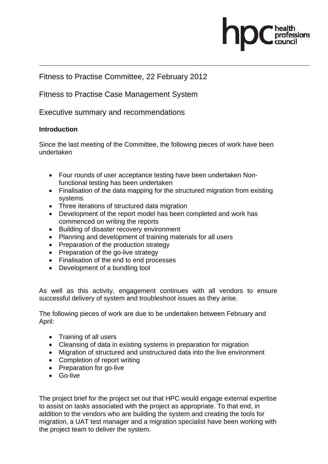

# Fitness to Practise Committee, 22 February 2012

Fitness to Practise Case Management System

Executive summary and recommendations

## **Introduction**

Since the last meeting of the Committee, the following pieces of work have been undertaken

- Four rounds of user acceptance testing have been undertaken Nonfunctional testing has been undertaken
- Finalisation of the data mapping for the structured migration from existing systems
- Three iterations of structured data migration
- Development of the report model has been completed and work has commenced on writing the reports
- Building of disaster recovery environment
- Planning and development of training materials for all users
- Preparation of the production strategy
- Preparation of the go-live strategy
- Finalisation of the end to end processes
- Development of a bundling tool

As well as this activity, engagement continues with all vendors to ensure successful delivery of system and troubleshoot issues as they arise.

The following pieces of work are due to be undertaken between February and April:

- Training of all users
- Cleansing of data in existing systems in preparation for migration
- Migration of structured and unstructured data into the live environment
- Completion of report writing
- Preparation for go-live
- Go-live

The project brief for the project set out that HPC would engage external expertise to assist on tasks associated with the project as appropriate. To that end, in addition to the vendors who are building the system and creating the tools for migration, a UAT test manager and a migration specialist have been working with the project team to deliver the system.